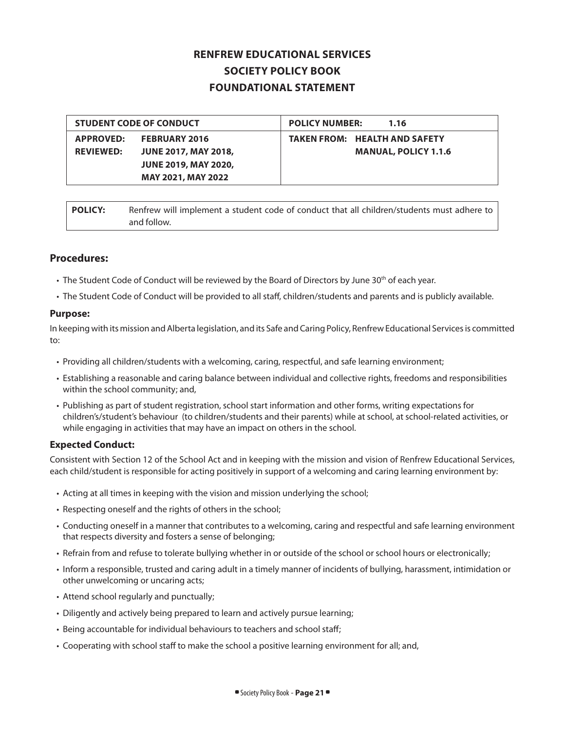# **RENFREW EDUCATIONAL SERVICES SOCIETY POLICY BOOK FOUNDATIONAL STATEMENT**

| STUDENT CODE OF CONDUCT                                                                                                                          | <b>POLICY NUMBER:</b><br>1.16                                       |
|--------------------------------------------------------------------------------------------------------------------------------------------------|---------------------------------------------------------------------|
| <b>APPROVED:</b><br><b>FEBRUARY 2016</b><br><b>JUNE 2017, MAY 2018,</b><br><b>REVIEWED:</b><br><b>JUNE 2019, MAY 2020,</b><br>MAY 2021, MAY 2022 | <b>TAKEN FROM: HEALTH AND SAFETY</b><br><b>MANUAL, POLICY 1.1.6</b> |

**POLICY:** Renfrew will implement a student code of conduct that all children/students must adhere to and follow.

# **Procedures:**

- The Student Code of Conduct will be reviewed by the Board of Directors by June 30<sup>th</sup> of each year.
- The Student Code of Conduct will be provided to all staff, children/students and parents and is publicly available.

#### **Purpose:**

In keeping with its mission and Alberta legislation, and its Safe and Caring Policy, Renfrew Educational Services is committed to:

- Providing all children/students with a welcoming, caring, respectful, and safe learning environment;
- Establishing a reasonable and caring balance between individual and collective rights, freedoms and responsibilities within the school community; and,
- Publishing as part of student registration, school start information and other forms, writing expectations for children's/student's behaviour (to children/students and their parents) while at school, at school-related activities, or while engaging in activities that may have an impact on others in the school.

#### **Expected Conduct:**

Consistent with Section 12 of the School Act and in keeping with the mission and vision of Renfrew Educational Services, each child/student is responsible for acting positively in support of a welcoming and caring learning environment by:

- Acting at all times in keeping with the vision and mission underlying the school;
- Respecting oneself and the rights of others in the school;
- Conducting oneself in a manner that contributes to a welcoming, caring and respectful and safe learning environment that respects diversity and fosters a sense of belonging;
- Refrain from and refuse to tolerate bullying whether in or outside of the school or school hours or electronically;
- Inform a responsible, trusted and caring adult in a timely manner of incidents of bullying, harassment, intimidation or other unwelcoming or uncaring acts;
- Attend school regularly and punctually;
- Diligently and actively being prepared to learn and actively pursue learning;
- Being accountable for individual behaviours to teachers and school staff;
- Cooperating with school staff to make the school a positive learning environment for all; and,